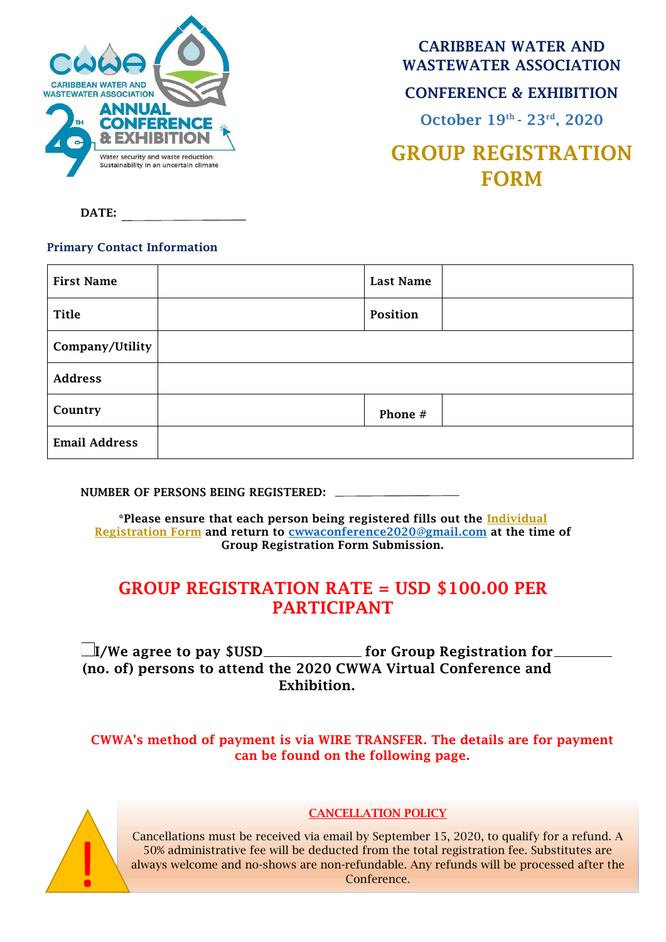

CARIBBEAN WATER AND WASTEWATER ASSOCIATION

### CONFERENCE & EXHIBITION

October 19th - 23rd, 2020

# GROUP REGISTRATION FORM

DATE:

#### Primary Contact Information

| <b>First Name</b>    | <b>Last Name</b> |  |
|----------------------|------------------|--|
| <b>Title</b>         | Position         |  |
| Company/Utility      |                  |  |
| <b>Address</b>       |                  |  |
| Country              | Phone #          |  |
| <b>Email Address</b> |                  |  |

NUMBER OF PERSONS BEING REGISTERED:

\*Please ensure that each person being registered fills out the Individual Registration Form and return to [cwwaconference2020@gmail.com](mailto:cwwaconference2020@gmail.com) at the time of Group Registration Form Submission.

## GROUP REGISTRATION RATE = USD \$100.00 PER PARTICIPANT

 $\Box$ I/We agree to pay \$USD \_\_\_\_\_\_\_\_\_\_\_\_\_\_ for Group Registration for \_ (no. of) persons to attend the 2020 CWWA Virtual Conference and Exhibition.

CWWA's method of payment is via WIRE TRANSFER. The details are for payment can be found on the following page.



#### CANCELLATION POLICY

Cancellations must be received via email by September 15, 2020, to qualify for a refund. A 50% administrative fee will be deducted from the total registration fee. Substitutes are always welcome and no-shows are non-refundable. Any refunds will be processed after the Conference.